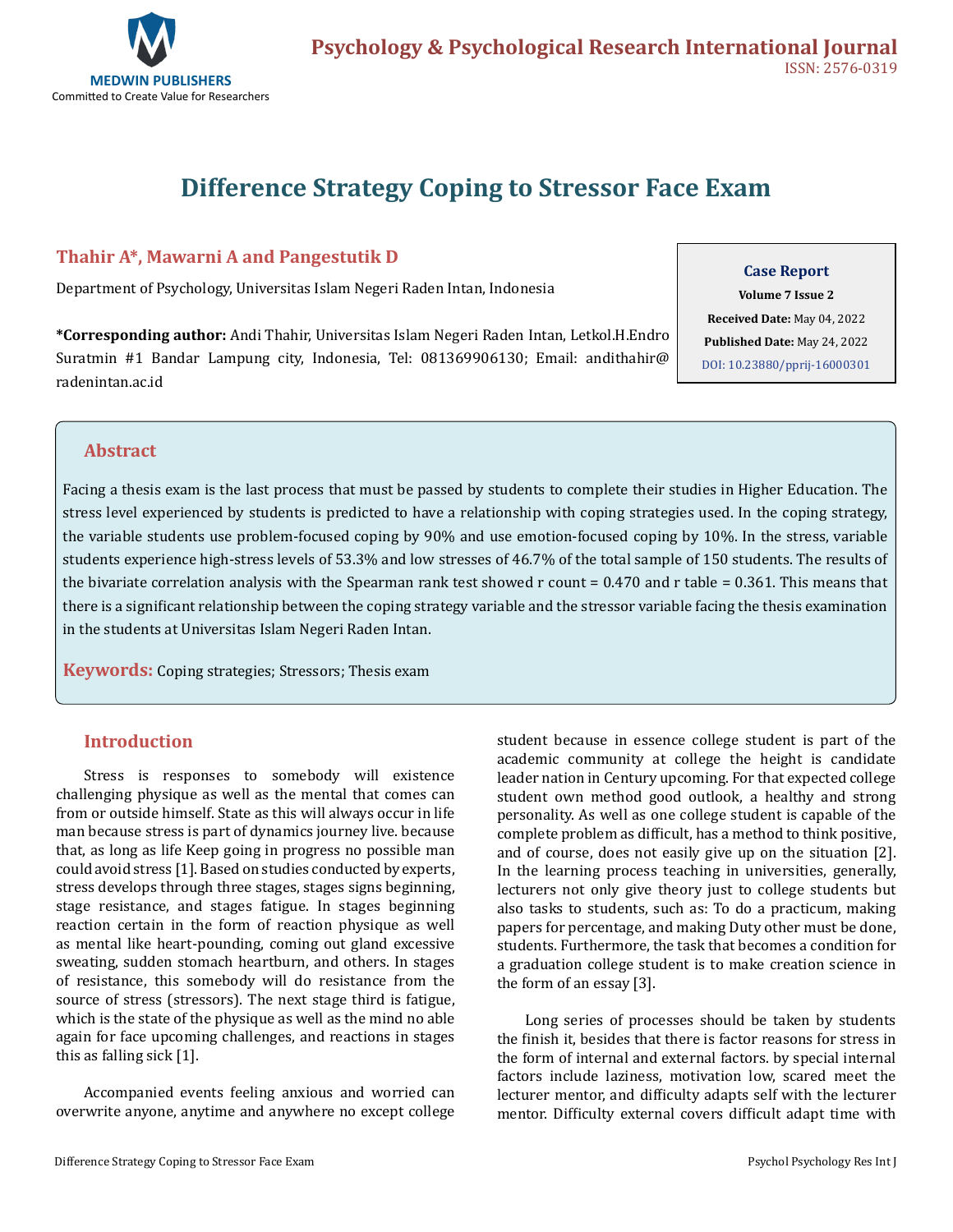

# **Difference Strategy Coping to Stressor Face Exam**

# **Thahir A\*, Mawarni A and Pangestutik D**

Department of Psychology, Universitas Islam Negeri Raden Intan, Indonesia

**\*Corresponding author:** Andi Thahir, Universitas Islam Negeri Raden Intan, Letkol.H.Endro Suratmin #1 Bandar Lampung city, Indonesia, Tel: 081369906130; Email: andithahir@ radenintan.ac.id

#### **Case Report**

**Volume 7 Issue 2 Received Date:** May 04, 2022 **Published Date:** May 24, 2022 [DOI: 10.23880/pprij-16000301](https://doi.org/10.23880/pprij-16000301)

# **Abstract**

Facing a thesis exam is the last process that must be passed by students to complete their studies in Higher Education. The stress level experienced by students is predicted to have a relationship with coping strategies used. In the coping strategy, the variable students use problem-focused coping by 90% and use emotion-focused coping by 10%. In the stress, variable students experience high-stress levels of 53.3% and low stresses of 46.7% of the total sample of 150 students. The results of the bivariate correlation analysis with the Spearman rank test showed r count = 0.470 and r table = 0.361. This means that there is a significant relationship between the coping strategy variable and the stressor variable facing the thesis examination in the students at Universitas Islam Negeri Raden Intan.

**Keywords:** Coping strategies; Stressors; Thesis exam

## **Introduction**

Stress is responses to somebody will existence challenging physique as well as the mental that comes can from or outside himself. State as this will always occur in life man because stress is part of dynamics journey live. because that, as long as life Keep going in progress no possible man could avoid stress [1]. Based on studies conducted by experts, stress develops through three stages, stages signs beginning, stage resistance, and stages fatigue. In stages beginning reaction certain in the form of reaction physique as well as mental like heart-pounding, coming out gland excessive sweating, sudden stomach heartburn, and others. In stages of resistance, this somebody will do resistance from the source of stress (stressors). The next stage third is fatigue, which is the state of the physique as well as the mind no able again for face upcoming challenges, and reactions in stages this as falling sick [1].

Accompanied events feeling anxious and worried can overwrite anyone, anytime and anywhere no except college student because in essence college student is part of the academic community at college the height is candidate leader nation in Century upcoming. For that expected college student own method good outlook, a healthy and strong personality. As well as one college student is capable of the complete problem as difficult, has a method to think positive, and of course, does not easily give up on the situation [2]. In the learning process teaching in universities, generally, lecturers not only give theory just to college students but also tasks to students, such as: To do a practicum, making papers for percentage, and making Duty other must be done, students. Furthermore, the task that becomes a condition for a graduation college student is to make creation science in the form of an essay [3].

Long series of processes should be taken by students the finish it, besides that there is factor reasons for stress in the form of internal and external factors. by special internal factors include laziness, motivation low, scared meet the lecturer mentor, and difficulty adapts self with the lecturer mentor. Difficulty external covers difficult adapt time with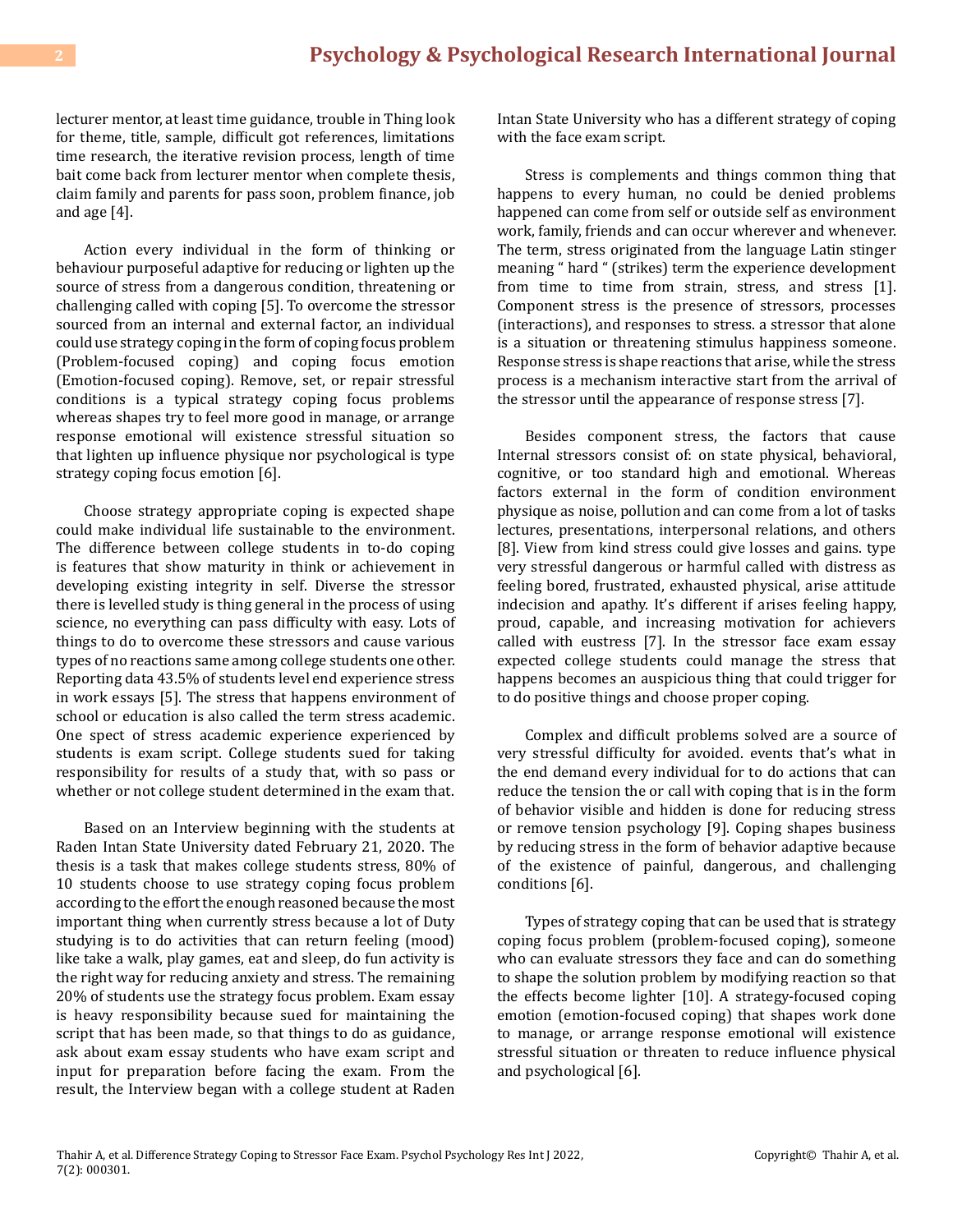lecturer mentor, at least time guidance, trouble in Thing look for theme, title, sample, difficult got references, limitations time research, the iterative revision process, length of time bait come back from lecturer mentor when complete thesis, claim family and parents for pass soon, problem finance, job and age [4].

Action every individual in the form of thinking or behaviour purposeful adaptive for reducing or lighten up the source of stress from a dangerous condition, threatening or challenging called with coping [5]. To overcome the stressor sourced from an internal and external factor, an individual could use strategy coping in the form of coping focus problem (Problem-focused coping) and coping focus emotion (Emotion-focused coping). Remove, set, or repair stressful conditions is a typical strategy coping focus problems whereas shapes try to feel more good in manage, or arrange response emotional will existence stressful situation so that lighten up influence physique nor psychological is type strategy coping focus emotion [6].

Choose strategy appropriate coping is expected shape could make individual life sustainable to the environment. The difference between college students in to-do coping is features that show maturity in think or achievement in developing existing integrity in self. Diverse the stressor there is levelled study is thing general in the process of using science, no everything can pass difficulty with easy. Lots of things to do to overcome these stressors and cause various types of no reactions same among college students one other. Reporting data 43.5% of students level end experience stress in work essays [5]. The stress that happens environment of school or education is also called the term stress academic. One spect of stress academic experience experienced by students is exam script. College students sued for taking responsibility for results of a study that, with so pass or whether or not college student determined in the exam that.

Based on an Interview beginning with the students at Raden Intan State University dated February 21, 2020. The thesis is a task that makes college students stress, 80% of 10 students choose to use strategy coping focus problem according to the effort the enough reasoned because the most important thing when currently stress because a lot of Duty studying is to do activities that can return feeling (mood) like take a walk, play games, eat and sleep, do fun activity is the right way for reducing anxiety and stress. The remaining 20% of students use the strategy focus problem. Exam essay is heavy responsibility because sued for maintaining the script that has been made, so that things to do as guidance, ask about exam essay students who have exam script and input for preparation before facing the exam. From the result, the Interview began with a college student at Raden Intan State University who has a different strategy of coping with the face exam script.

Stress is complements and things common thing that happens to every human, no could be denied problems happened can come from self or outside self as environment work, family, friends and can occur wherever and whenever. The term, stress originated from the language Latin stinger meaning " hard " (strikes) term the experience development from time to time from strain, stress, and stress [1]. Component stress is the presence of stressors, processes (interactions), and responses to stress. a stressor that alone is a situation or threatening stimulus happiness someone. Response stress is shape reactions that arise, while the stress process is a mechanism interactive start from the arrival of the stressor until the appearance of response stress [7].

Besides component stress, the factors that cause Internal stressors consist of: on state physical, behavioral, cognitive, or too standard high and emotional. Whereas factors external in the form of condition environment physique as noise, pollution and can come from a lot of tasks lectures, presentations, interpersonal relations, and others [8]. View from kind stress could give losses and gains. type very stressful dangerous or harmful called with distress as feeling bored, frustrated, exhausted physical, arise attitude indecision and apathy. It's different if arises feeling happy, proud, capable, and increasing motivation for achievers called with eustress [7]. In the stressor face exam essay expected college students could manage the stress that happens becomes an auspicious thing that could trigger for to do positive things and choose proper coping.

Complex and difficult problems solved are a source of very stressful difficulty for avoided. events that's what in the end demand every individual for to do actions that can reduce the tension the or call with coping that is in the form of behavior visible and hidden is done for reducing stress or remove tension psychology [9]. Coping shapes business by reducing stress in the form of behavior adaptive because of the existence of painful, dangerous, and challenging conditions [6].

Types of strategy coping that can be used that is strategy coping focus problem (problem-focused coping), someone who can evaluate stressors they face and can do something to shape the solution problem by modifying reaction so that the effects become lighter [10]. A strategy-focused coping emotion (emotion-focused coping) that shapes work done to manage, or arrange response emotional will existence stressful situation or threaten to reduce influence physical and psychological [6].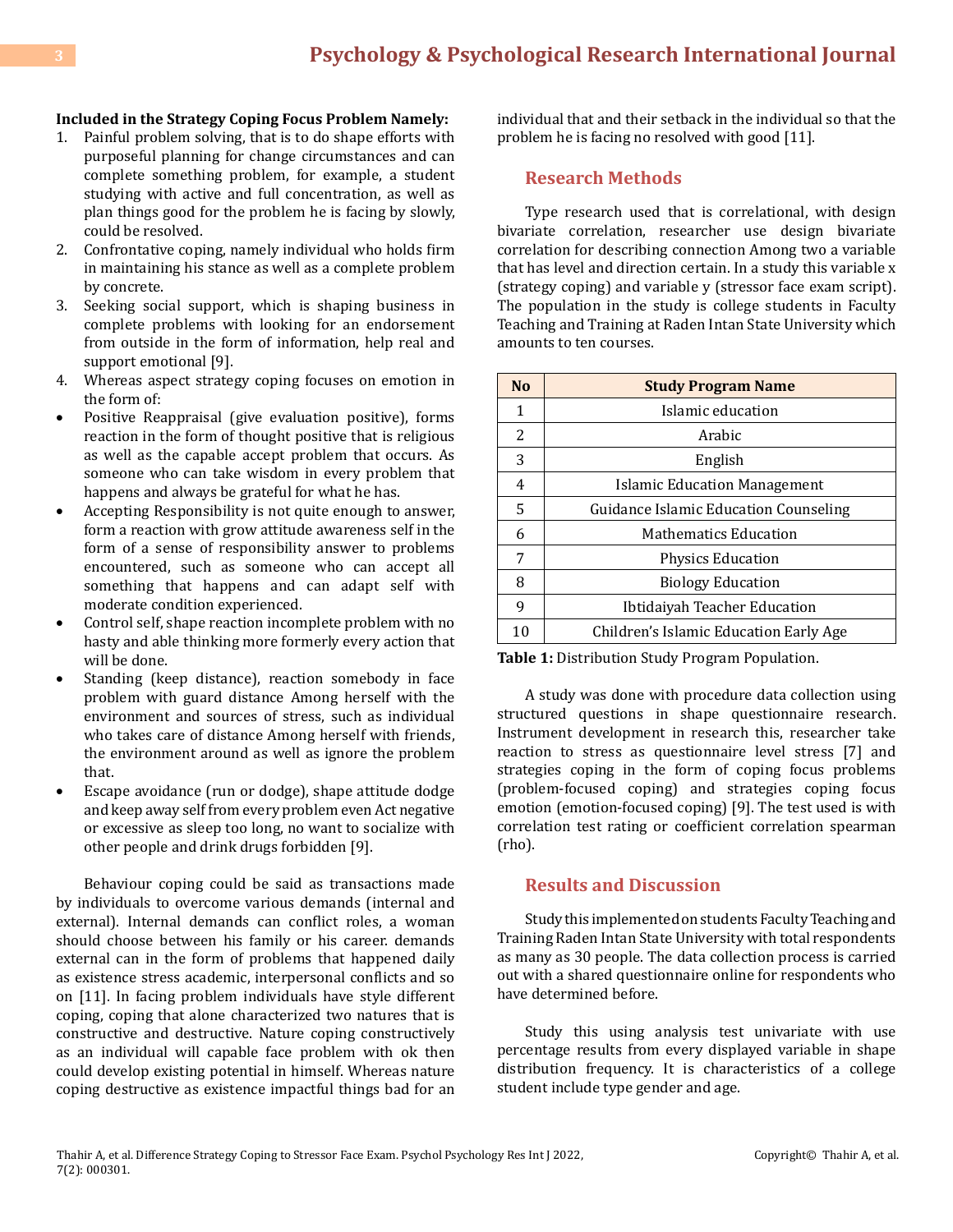#### **Included in the Strategy Coping Focus Problem Namely:**

- 1. Painful problem solving, that is to do shape efforts with purposeful planning for change circumstances and can complete something problem, for example, a student studying with active and full concentration, as well as plan things good for the problem he is facing by slowly, could be resolved.
- 2. Confrontative coping, namely individual who holds firm in maintaining his stance as well as a complete problem by concrete.
- 3. Seeking social support, which is shaping business in complete problems with looking for an endorsement from outside in the form of information, help real and support emotional [9].
- 4. Whereas aspect strategy coping focuses on emotion in the form of:
- • Positive Reappraisal (give evaluation positive), forms reaction in the form of thought positive that is religious as well as the capable accept problem that occurs. As someone who can take wisdom in every problem that happens and always be grateful for what he has.
- Accepting Responsibility is not quite enough to answer, form a reaction with grow attitude awareness self in the form of a sense of responsibility answer to problems encountered, such as someone who can accept all something that happens and can adapt self with moderate condition experienced.
- Control self, shape reaction incomplete problem with no hasty and able thinking more formerly every action that will be done.
- Standing (keep distance), reaction somebody in face problem with guard distance Among herself with the environment and sources of stress, such as individual who takes care of distance Among herself with friends, the environment around as well as ignore the problem that.
- • Escape avoidance (run or dodge), shape attitude dodge and keep away self from every problem even Act negative or excessive as sleep too long, no want to socialize with other people and drink drugs forbidden [9].

Behaviour coping could be said as transactions made by individuals to overcome various demands (internal and external). Internal demands can conflict roles, a woman should choose between his family or his career. demands external can in the form of problems that happened daily as existence stress academic, interpersonal conflicts and so on [11]. In facing problem individuals have style different coping, coping that alone characterized two natures that is constructive and destructive. Nature coping constructively as an individual will capable face problem with ok then could develop existing potential in himself. Whereas nature coping destructive as existence impactful things bad for an individual that and their setback in the individual so that the problem he is facing no resolved with good [11].

## **Research Methods**

Type research used that is correlational, with design bivariate correlation, researcher use design bivariate correlation for describing connection Among two a variable that has level and direction certain. In a study this variable x (strategy coping) and variable y (stressor face exam script). The population in the study is college students in Faculty Teaching and Training at Raden Intan State University which amounts to ten courses.

| N <sub>0</sub> | <b>Study Program Name</b>              |  |  |  |  |  |
|----------------|----------------------------------------|--|--|--|--|--|
| 1              | Islamic education                      |  |  |  |  |  |
| 2              | Arabic                                 |  |  |  |  |  |
| 3              | English                                |  |  |  |  |  |
| 4              | <b>Islamic Education Management</b>    |  |  |  |  |  |
| 5              | Guidance Islamic Education Counseling  |  |  |  |  |  |
| 6              | <b>Mathematics Education</b>           |  |  |  |  |  |
| 7              | <b>Physics Education</b>               |  |  |  |  |  |
| 8              | <b>Biology Education</b>               |  |  |  |  |  |
| 9              | Ibtidaiyah Teacher Education           |  |  |  |  |  |
| 10             | Children's Islamic Education Early Age |  |  |  |  |  |

**Table 1:** Distribution Study Program Population.

A study was done with procedure data collection using structured questions in shape questionnaire research. Instrument development in research this, researcher take reaction to stress as questionnaire level stress [7] and strategies coping in the form of coping focus problems (problem-focused coping) and strategies coping focus emotion (emotion-focused coping) [9]. The test used is with correlation test rating or coefficient correlation spearman (rho).

## **Results and Discussion**

Study this implemented on students Faculty Teaching and Training Raden Intan State University with total respondents as many as 30 people. The data collection process is carried out with a shared questionnaire online for respondents who have determined before.

Study this using analysis test univariate with use percentage results from every displayed variable in shape distribution frequency. It is characteristics of a college student include type gender and age.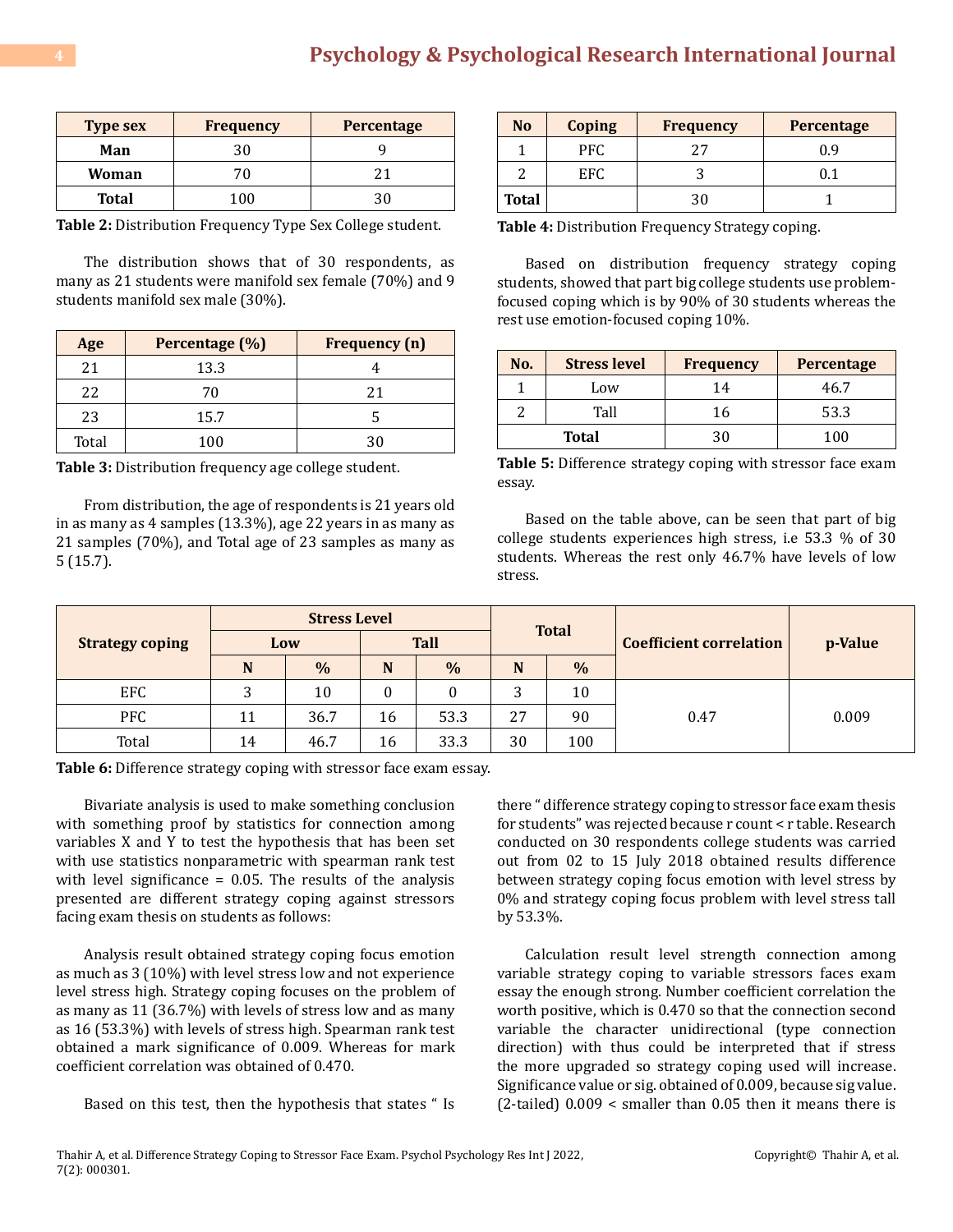| <b>Type sex</b> | <b>Frequency</b> | <b>Percentage</b> |  |  |
|-----------------|------------------|-------------------|--|--|
| Man             | 30               |                   |  |  |
| Woman           | 70               |                   |  |  |
| <b>Total</b>    | 100              | 21                |  |  |

**Table 2:** Distribution Frequency Type Sex College student.

The distribution shows that of 30 respondents, as many as 21 students were manifold sex female (70%) and 9 students manifold sex male (30%).

| Age   | Percentage (%) | <b>Frequency</b> (n) |
|-------|----------------|----------------------|
| 21    | 13.3           |                      |
| 22    | 70             | 21                   |
| 23    | 15.7           |                      |
| Total | 100            | 3Λ                   |

**Table 3:** Distribution frequency age college student.

From distribution, the age of respondents is 21 years old in as many as 4 samples (13.3%), age 22 years in as many as 21 samples (70%), and Total age of 23 samples as many as 5 (15.7).

| N <sub>0</sub> | <b>Coping</b> | <b>Frequency</b> | <b>Percentage</b> |
|----------------|---------------|------------------|-------------------|
|                | PFC.          |                  | 0.9               |
|                | EFC           |                  | 1.1               |
| <b>Total</b>   |               |                  |                   |

**Table 4:** Distribution Frequency Strategy coping.

Based on distribution frequency strategy coping students, showed that part big college students use problemfocused coping which is by 90% of 30 students whereas the rest use emotion-focused coping 10%.

| No. | <b>Stress level</b> | <b>Frequency</b> | Percentage |  |
|-----|---------------------|------------------|------------|--|
|     | Low                 | 14               | 46.7       |  |
|     | Tall                | 16               | 53.3       |  |
|     | <b>Total</b>        |                  | 100        |  |

**Table 5:** Difference strategy coping with stressor face exam essay.

Based on the table above, can be seen that part of big college students experiences high stress, i.e 53.3 % of 30 students. Whereas the rest only 46.7% have levels of low stress.

|                        | <b>Stress Level</b> |      |             |               |              |               |                                |         |
|------------------------|---------------------|------|-------------|---------------|--------------|---------------|--------------------------------|---------|
| <b>Strategy coping</b> | Low                 |      | <b>Tall</b> |               | <b>Total</b> |               | <b>Coefficient correlation</b> | p-Value |
|                        | N                   | $\%$ | N           | $\frac{0}{0}$ | N            | $\frac{0}{0}$ |                                |         |
| EFC                    |                     | 10   | υ           |               |              | 10            |                                |         |
| <b>PFC</b>             | 11                  | 36.7 | 16          | 53.3          | 27           | 90            | 0.47                           | 0.009   |
| Total                  | 14                  | 46.7 | 16          | 33.3          | 30           | 100           |                                |         |

**Table 6:** Difference strategy coping with stressor face exam essay.

Bivariate analysis is used to make something conclusion with something proof by statistics for connection among variables X and Y to test the hypothesis that has been set with use statistics nonparametric with spearman rank test with level significance  $= 0.05$ . The results of the analysis presented are different strategy coping against stressors facing exam thesis on students as follows:

Analysis result obtained strategy coping focus emotion as much as 3 (10%) with level stress low and not experience level stress high. Strategy coping focuses on the problem of as many as 11 (36.7%) with levels of stress low and as many as 16 (53.3%) with levels of stress high. Spearman rank test obtained a mark significance of 0.009. Whereas for mark coefficient correlation was obtained of 0.470.

Based on this test, then the hypothesis that states " Is

there " difference strategy coping to stressor face exam thesis for students" was rejected because r count < r table. Research conducted on 30 respondents college students was carried out from 02 to 15 July 2018 obtained results difference between strategy coping focus emotion with level stress by 0% and strategy coping focus problem with level stress tall by 53.3%.

Calculation result level strength connection among variable strategy coping to variable stressors faces exam essay the enough strong. Number coefficient correlation the worth positive, which is 0.470 so that the connection second variable the character unidirectional (type connection direction) with thus could be interpreted that if stress the more upgraded so strategy coping used will increase. Significance value or sig. obtained of 0.009, because sig value. (2-tailed) 0.009 < smaller than 0.05 then it means there is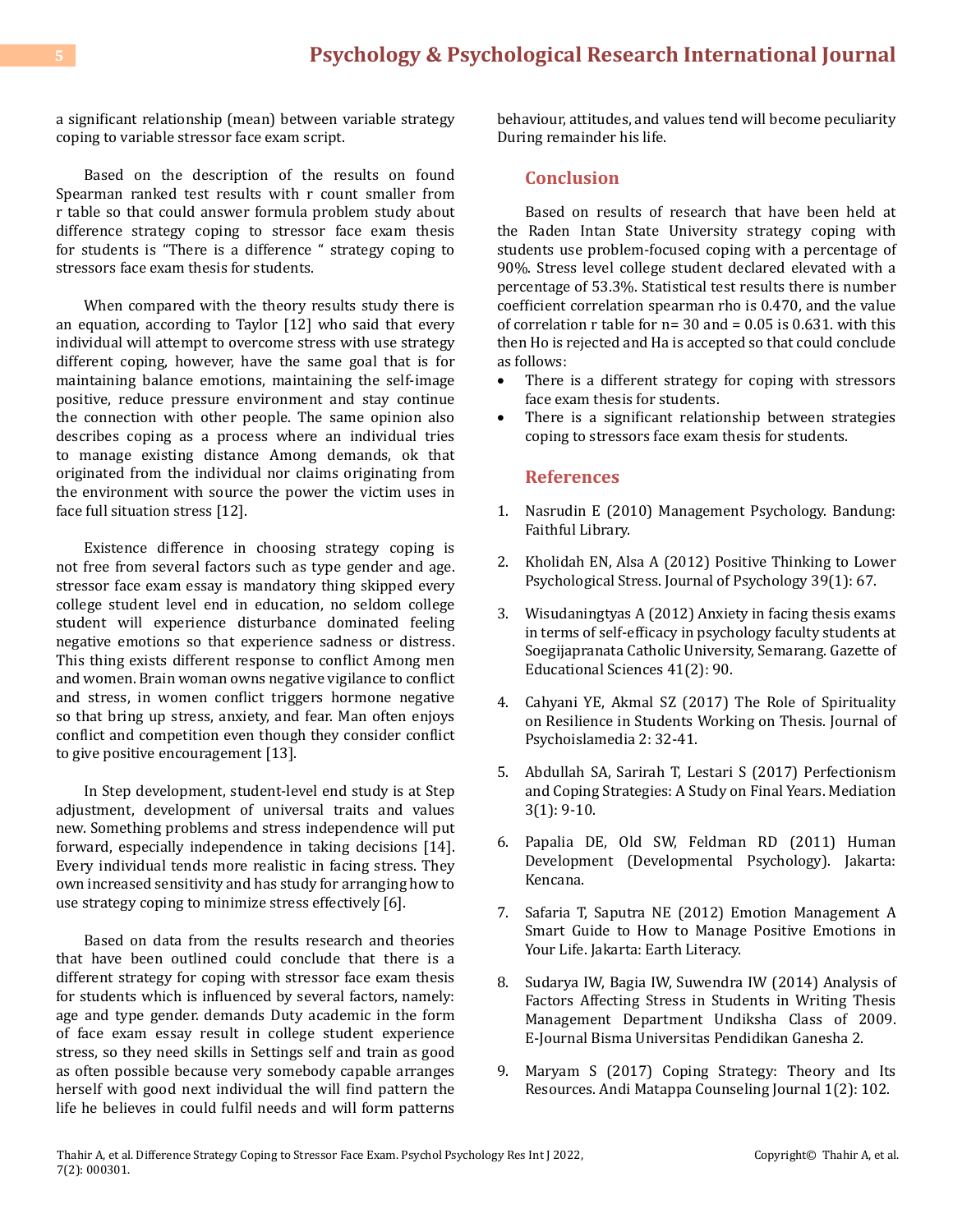a significant relationship (mean) between variable strategy coping to variable stressor face exam script.

Based on the description of the results on found Spearman ranked test results with r count smaller from r table so that could answer formula problem study about difference strategy coping to stressor face exam thesis for students is "There is a difference " strategy coping to stressors face exam thesis for students.

When compared with the theory results study there is an equation, according to Taylor [12] who said that every individual will attempt to overcome stress with use strategy different coping, however, have the same goal that is for maintaining balance emotions, maintaining the self-image positive, reduce pressure environment and stay continue the connection with other people. The same opinion also describes coping as a process where an individual tries to manage existing distance Among demands, ok that originated from the individual nor claims originating from the environment with source the power the victim uses in face full situation stress [12].

Existence difference in choosing strategy coping is not free from several factors such as type gender and age. stressor face exam essay is mandatory thing skipped every college student level end in education, no seldom college student will experience disturbance dominated feeling negative emotions so that experience sadness or distress. This thing exists different response to conflict Among men and women. Brain woman owns negative vigilance to conflict and stress, in women conflict triggers hormone negative so that bring up stress, anxiety, and fear. Man often enjoys conflict and competition even though they consider conflict to give positive encouragement [13].

In Step development, student-level end study is at Step adjustment, development of universal traits and values new. Something problems and stress independence will put forward, especially independence in taking decisions [14]. Every individual tends more realistic in facing stress. They own increased sensitivity and has study for arranging how to use strategy coping to minimize stress effectively [6].

Based on data from the results research and theories that have been outlined could conclude that there is a different strategy for coping with stressor face exam thesis for students which is influenced by several factors, namely: age and type gender. demands Duty academic in the form of face exam essay result in college student experience stress, so they need skills in Settings self and train as good as often possible because very somebody capable arranges herself with good next individual the will find pattern the life he believes in could fulfil needs and will form patterns behaviour, attitudes, and values tend will become peculiarity During remainder his life.

# **Conclusion**

Based on results of research that have been held at the Raden Intan State University strategy coping with students use problem-focused coping with a percentage of 90%. Stress level college student declared elevated with a percentage of 53.3%. Statistical test results there is number coefficient correlation spearman rho is 0.470, and the value of correlation  $r$  table for  $n=30$  and  $= 0.05$  is 0.631. with this then Ho is rejected and Ha is accepted so that could conclude as follows:

- There is a different strategy for coping with stressors face exam thesis for students.
- There is a significant relationship between strategies coping to stressors face exam thesis for students.

## **References**

- 1. Nasrudin E (2010) Management Psychology. Bandung: Faithful Library.
- 2. Kholidah EN, Alsa A (2012) Positive Thinking to Lower Psychological Stress. Journal of Psychology 39(1): 67.
- 3. [Wisudaningtyas A \(2012\) Anxiety in facing thesis exams](http://journal.unnes.ac.id/article_nju/LIK/2343)  [in terms of self-efficacy in psychology faculty students at](http://journal.unnes.ac.id/article_nju/LIK/2343)  [Soegijapranata Catholic University, Semarang. Gazette of](http://journal.unnes.ac.id/article_nju/LIK/2343) [Educational Sciences 41\(2\): 90.](http://journal.unnes.ac.id/article_nju/LIK/2343)
- 4. Cahyani YE, Akmal SZ (2017) The Role of Spirituality on Resilience in Students Working on Thesis. Journal of Psychoislamedia 2: 32-41.
- 5. Abdullah SA, Sarirah T, Lestari S (2017) Perfectionism and Coping Strategies: A Study on Final Years. Mediation 3(1): 9-10.
- 6. Papalia DE, Old SW, Feldman RD (2011) Human Development (Developmental Psychology). Jakarta: Kencana.
- 7. Safaria T, Saputra NE (2012) Emotion Management A Smart Guide to How to Manage Positive Emotions in Your Life. Jakarta: Earth Literacy.
- 8. Sudarya IW, Bagia IW, Suwendra IW (2014) Analysis of Factors Affecting Stress in Students in Writing Thesis Management Department Undiksha Class of 2009. E-Journal Bisma Universitas Pendidikan Ganesha 2.
- 9. [Maryam S \(2017\) Coping Strategy: Theory and Its](https://journal.stkip-andi-matappa.ac.id/index.php/jurkam/article/view/12)  [Resources. Andi Matappa Counseling Journal 1\(2\): 102.](https://journal.stkip-andi-matappa.ac.id/index.php/jurkam/article/view/12)